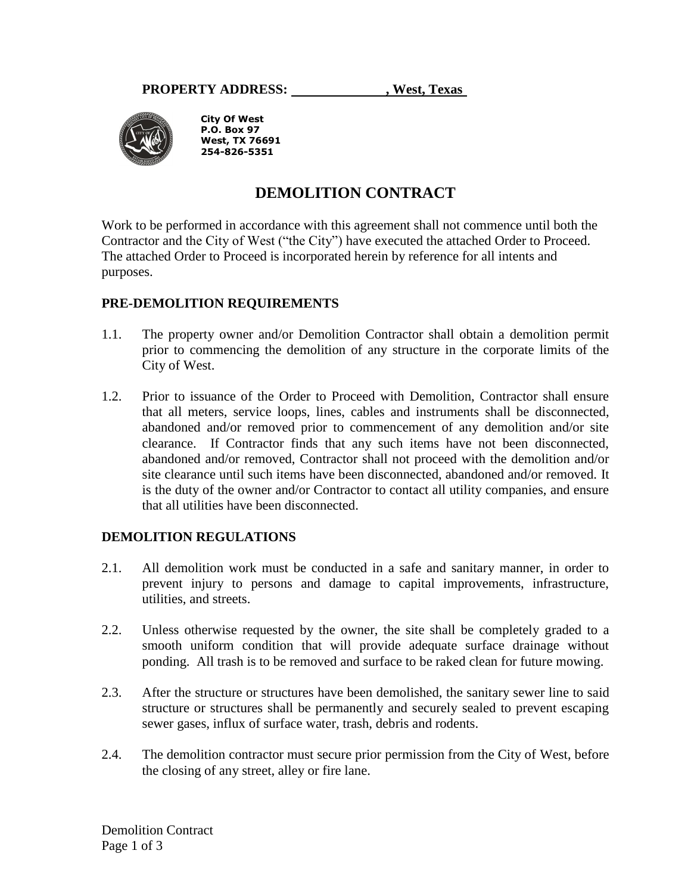

**City Of West P.O. Box 97 West, TX 76691 254-826-5351**

# **DEMOLITION CONTRACT**

Work to be performed in accordance with this agreement shall not commence until both the Contractor and the City of West ("the City") have executed the attached Order to Proceed. The attached Order to Proceed is incorporated herein by reference for all intents and purposes.

## **PRE-DEMOLITION REQUIREMENTS**

- 1.1. The property owner and/or Demolition Contractor shall obtain a demolition permit prior to commencing the demolition of any structure in the corporate limits of the City of West.
- 1.2. Prior to issuance of the Order to Proceed with Demolition, Contractor shall ensure that all meters, service loops, lines, cables and instruments shall be disconnected, abandoned and/or removed prior to commencement of any demolition and/or site clearance. If Contractor finds that any such items have not been disconnected, abandoned and/or removed, Contractor shall not proceed with the demolition and/or site clearance until such items have been disconnected, abandoned and/or removed. It is the duty of the owner and/or Contractor to contact all utility companies, and ensure that all utilities have been disconnected.

## **DEMOLITION REGULATIONS**

- 2.1. All demolition work must be conducted in a safe and sanitary manner, in order to prevent injury to persons and damage to capital improvements, infrastructure, utilities, and streets.
- 2.2. Unless otherwise requested by the owner, the site shall be completely graded to a smooth uniform condition that will provide adequate surface drainage without ponding. All trash is to be removed and surface to be raked clean for future mowing.
- 2.3. After the structure or structures have been demolished, the sanitary sewer line to said structure or structures shall be permanently and securely sealed to prevent escaping sewer gases, influx of surface water, trash, debris and rodents.
- 2.4. The demolition contractor must secure prior permission from the City of West, before the closing of any street, alley or fire lane.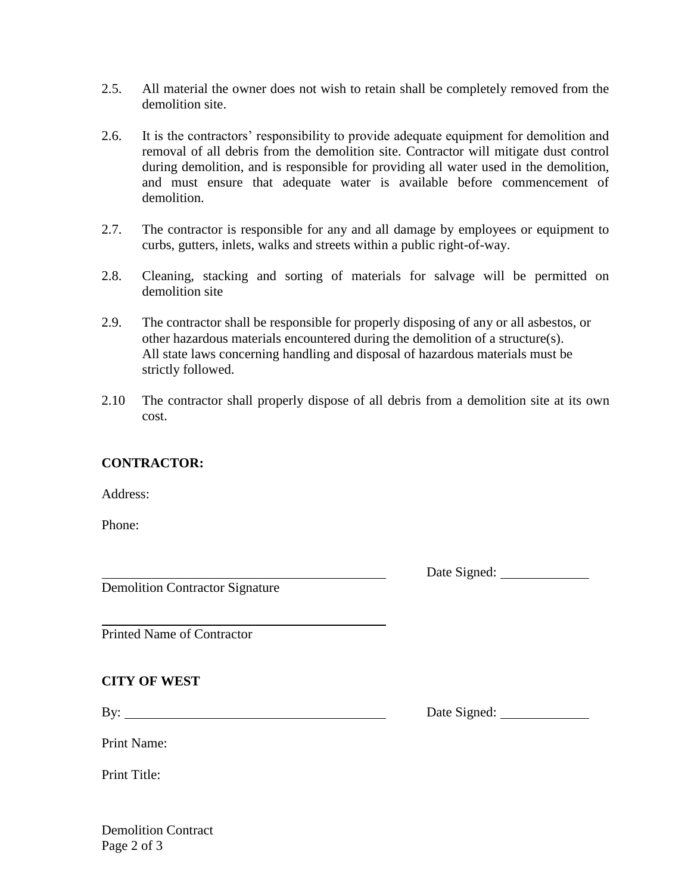- 2.5. All material the owner does not wish to retain shall be completely removed from the demolition site.
- 2.6. It is the contractors' responsibility to provide adequate equipment for demolition and removal of all debris from the demolition site. Contractor will mitigate dust control during demolition, and is responsible for providing all water used in the demolition, and must ensure that adequate water is available before commencement of demolition.
- 2.7. The contractor is responsible for any and all damage by employees or equipment to curbs, gutters, inlets, walks and streets within a public right-of-way.
- 2.8. Cleaning, stacking and sorting of materials for salvage will be permitted on demolition site
- 2.9. The contractor shall be responsible for properly disposing of any or all asbestos, or other hazardous materials encountered during the demolition of a structure(s). All state laws concerning handling and disposal of hazardous materials must be strictly followed.
- 2.10 The contractor shall properly dispose of all debris from a demolition site at its own cost.

## **CONTRACTOR:**

Address:

Phone:

Date Signed:

Demolition Contractor Signature

Printed Name of Contractor

Print Name:

#### **CITY OF WEST**

By: Date Signed:

Print Title:

Demolition Contract Page 2 of 3